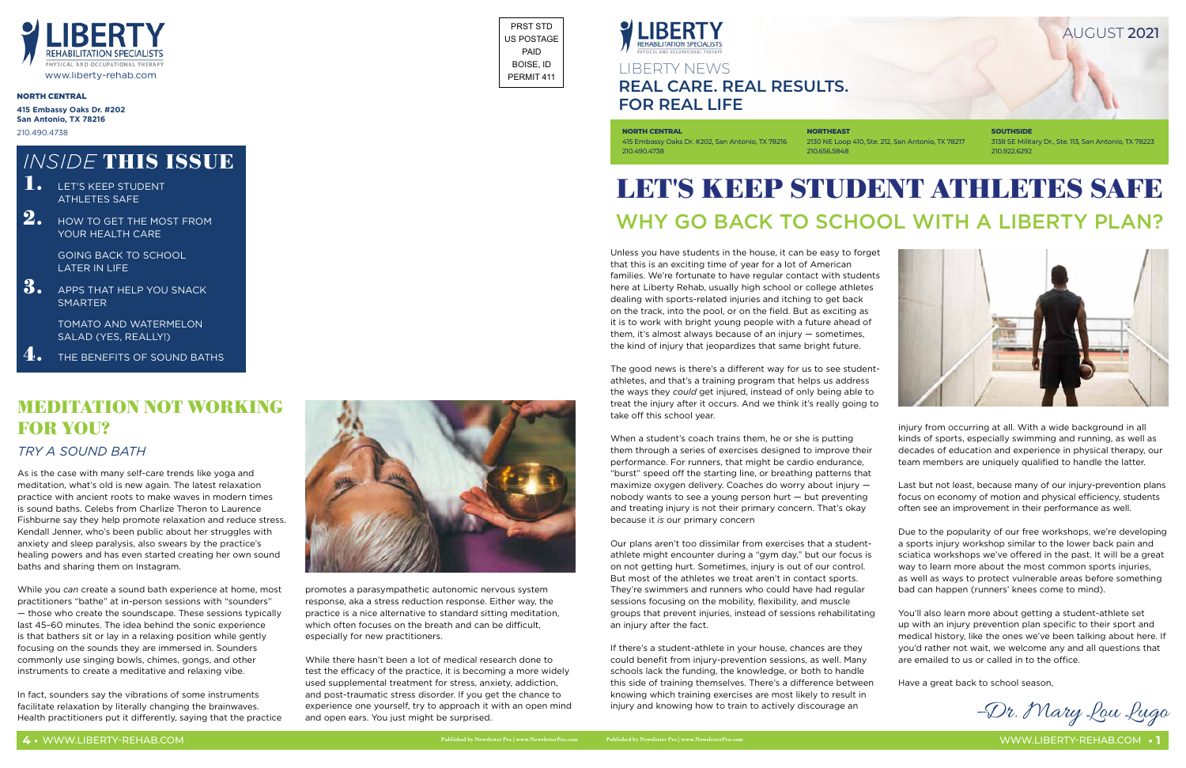Unless you have students in the house, it can be easy to forget that this is an exciting time of year for a lot of American families. We're fortunate to have regular contact with students here at Liberty Rehab, usually high school or college athletes dealing with sports-related injuries and itching to get back on the track, into the pool, or on the field. But as exciting as it is to work with bright young people with a future ahead of them, it's almost always because of an injury — sometimes, the kind of injury that jeopardizes that same bright future.

The good news is there's a different way for us to see studentathletes, and that's a training program that helps us address the ways they *could* get injured, instead of only being able to treat the injury after it occurs. And we think it's really going to take off this school year.

When a student's coach trains them, he or she is putting them through a series of exercises designed to improve their performance. For runners, that might be cardio endurance, "burst" speed off the starting line, or breathing patterns that maximize oxygen delivery. Coaches do worry about injury nobody wants to see a young person hurt — but preventing and treating injury is not their primary concern. That's okay because it *is* our primary concern

Our plans aren't too dissimilar from exercises that a studentathlete might encounter during a "gym day," but our focus is on not getting hurt. Sometimes, injury is out of our control. But most of the athletes we treat aren't in contact sports. They're swimmers and runners who could have had regular sessions focusing on the mobility, flexibility, and muscle groups that prevent injuries, instead of sessions rehabilitating an injury after the fact.

# LET'S KEEP STUDENT ATHLETES SAFE WHY GO BACK TO SCHOOL WITH A LIBERTY PLAN?

**SOUTHSIDE** 3138 SE Military Dr., Ste. 113, San Antonio, TX 78223 210.922.6292



If there's a student-athlete in your house, chances are they could benefit from injury-prevention sessions, as well. Many schools lack the funding, the knowledge, or both to handle this side of training themselves. There's a difference between knowing which training exercises are most likely to result in injury and knowing how to train to actively discourage an

injury from occurring at all. With a wide background in all kinds of sports, especially swimming and running, as well as decades of education and experience in physical therapy, our team members are uniquely qualified to handle the latter.

Last but not least, because many of our injury-prevention plans focus on economy of motion and physical efficiency, students often see an improvement in their performance as well.

Due to the popularity of our free workshops, we're developing a sports injury workshop similar to the lower back pain and sciatica workshops we've offered in the past. It will be a great way to learn more about the most common sports injuries, as well as ways to protect vulnerable areas before something bad can happen (runners' knees come to mind).

# MEDITATION NOT WORKING **FOR YOU?**

- You'll also learn more about getting a student-athlete set up with an injury prevention plan specific to their sport and medical history, like the ones we've been talking about here. If you'd rather not wait, we welcome any and all questions that are emailed to us or called in to the office.
- Have a great back to school season,

–Dr. Mary Lou Lugo

# LIBERTY NEWS **REAL CARE. REAL RESULTS. FOR REAL LIFE**

**NORTH CENTRAL** 415 Embassy Oaks Dr. #202, San Antonio, TX 78216 210.490.4738

2130 NE Loop 410, Ste. 212, San Antonio, TX 78217

**NORTHEAST** 210.656.5848

### NORTH CENTRAL

**415 Embassy Oaks Dr. #202 San Antonio, TX 78216** 210.490.4738



AUGUST 2021

GOING BACK TO SCHOOL LATER IN LIFE

3. APPS THAT HELP YOU SNACK **SMARTER** 

> TOMATO AND WATERMELON SALAD (YES, REALLY!)

THE BENEFITS OF SOUND BATHS

As is the case with many self-care trends like yoga and meditation, what's old is new again. The latest relaxation practice with ancient roots to make waves in modern times is sound baths. Celebs from Charlize Theron to Laurence Fishburne say they help promote relaxation and reduce stress. Kendall Jenner, who's been public about her struggles with anxiety and sleep paralysis, also swears by the practice's healing powers and has even started creating her own sound baths and sharing them on Instagram.

While you *can* create a sound bath experience at home, most practitioners "bathe" at in-person sessions with "sounders" — those who create the soundscape. These sessions typically last 45–60 minutes. The idea behind the sonic experience is that bathers sit or lay in a relaxing position while gently focusing on the sounds they are immersed in. Sounders commonly use singing bowls, chimes, gongs, and other instruments to create a meditative and relaxing vibe.

In fact, sounders say the vibrations of some instruments facilitate relaxation by literally changing the brainwaves. Health practitioners put it differently, saying that the practice



promotes a parasympathetic autonomic nervous system response, aka a stress reduction response. Either way, the practice is a nice alternative to standard sitting meditation, which often focuses on the breath and can be difficult, especially for new practitioners.

While there hasn't been a lot of medical research done to test the efficacy of the practice, it is becoming a more widely used supplemental treatment for stress, anxiety, addiction, and post-traumatic stress disorder. If you get the chance to experience one yourself, try to approach it with an open mind and open ears. You just might be surprised.

# *INSIDE* THIS ISSUE

- **1.** LET'S KEEP STUDENT ATHLETES SAFE
- $2.$  HOW TO GET THE MOST FROM YOUR HEALTH CARE

## *TRY A SOUND BATH*

PRST STD US POSTAGE PAID BOISE, ID PERMIT 411